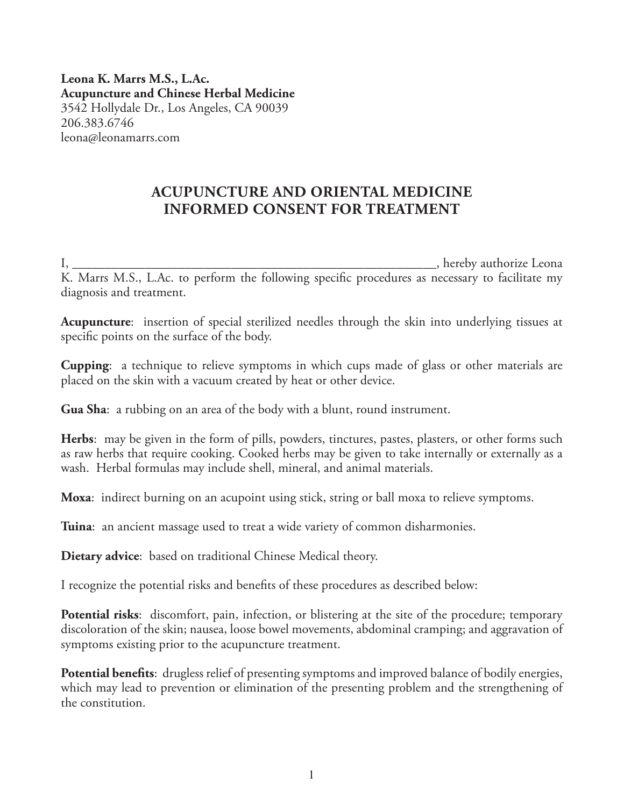**Leona K. Marrs M.S., L.Ac. Acupuncture and Chinese Herbal Medicine** 3542 Hollydale Dr., Los Angeles, CA 90039 206.383.6746 leona@leonamarrs.com

# **ACUPUNCTURE AND ORIENTAL MEDICINE INFORMED CONSENT FOR TREATMENT**

I, \_\_\_\_\_\_\_\_\_\_\_\_\_\_\_\_\_\_\_\_\_\_\_\_\_\_\_\_\_\_\_\_\_\_\_\_\_\_\_\_\_\_\_\_\_\_\_\_\_\_\_\_\_\_\_, hereby authorize Leona K. Marrs M.S., L.Ac. to perform the following specific procedures as necessary to facilitate my diagnosis and treatment.

**Acupuncture**: insertion of special sterilized needles through the skin into underlying tissues at specific points on the surface of the body.

**Cupping**: a technique to relieve symptoms in which cups made of glass or other materials are placed on the skin with a vacuum created by heat or other device.

**Gua Sha**: a rubbing on an area of the body with a blunt, round instrument.

**Herbs**: may be given in the form of pills, powders, tinctures, pastes, plasters, or other forms such as raw herbs that require cooking. Cooked herbs may be given to take internally or externally as a wash. Herbal formulas may include shell, mineral, and animal materials.

**Moxa**: indirect burning on an acupoint using stick, string or ball moxa to relieve symptoms.

**Tuina**: an ancient massage used to treat a wide variety of common disharmonies.

**Dietary advice**: based on traditional Chinese Medical theory.

I recognize the potential risks and benefits of these procedures as described below:

**Potential risks**: discomfort, pain, infection, or blistering at the site of the procedure; temporary discoloration of the skin; nausea, loose bowel movements, abdominal cramping; and aggravation of symptoms existing prior to the acupuncture treatment.

**Potential benefits**: drugless relief of presenting symptoms and improved balance of bodily energies, which may lead to prevention or elimination of the presenting problem and the strengthening of the constitution.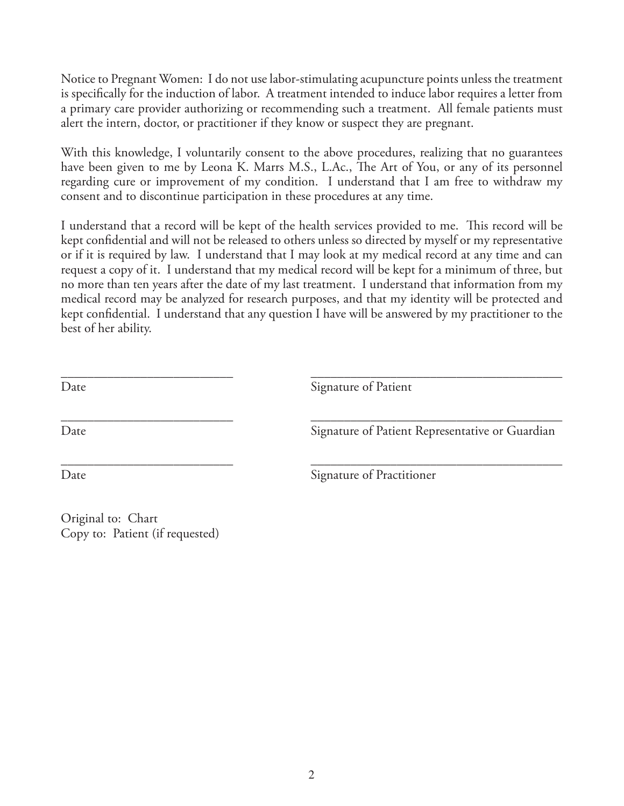Notice to Pregnant Women: I do not use labor-stimulating acupuncture points unless the treatment is specifically for the induction of labor. A treatment intended to induce labor requires a letter from a primary care provider authorizing or recommending such a treatment. All female patients must alert the intern, doctor, or practitioner if they know or suspect they are pregnant.

With this knowledge, I voluntarily consent to the above procedures, realizing that no guarantees have been given to me by Leona K. Marrs M.S., L.Ac., The Art of You, or any of its personnel regarding cure or improvement of my condition. I understand that I am free to withdraw my consent and to discontinue participation in these procedures at any time.

I understand that a record will be kept of the health services provided to me. This record will be kept confidential and will not be released to others unless so directed by myself or my representative or if it is required by law. I understand that I may look at my medical record at any time and can request a copy of it. I understand that my medical record will be kept for a minimum of three, but no more than ten years after the date of my last treatment. I understand that information from my medical record may be analyzed for research purposes, and that my identity will be protected and kept confidential. I understand that any question I have will be answered by my practitioner to the best of her ability.

| Date | Signature of Patient                            |
|------|-------------------------------------------------|
| Date | Signature of Patient Representative or Guardian |
| Date | Signature of Practitioner                       |

Original to: Chart Copy to: Patient (if requested)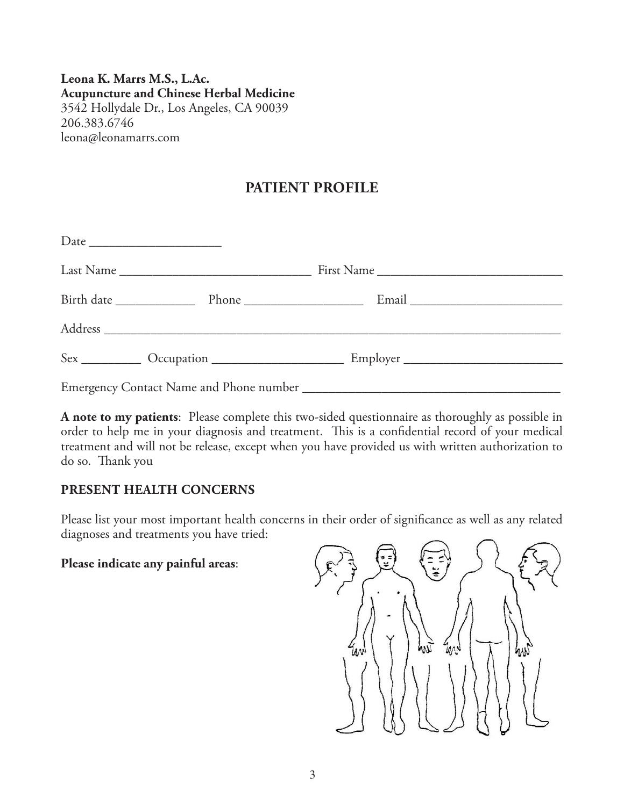### **Leona K. Marrs M.S., L.Ac. Acupuncture and Chinese Herbal Medicine** 3542 Hollydale Dr., Los Angeles, CA 90039 206.383.6746 leona@leonamarrs.com

# **PATIENT PROFILE**

**A note to my patients**: Please complete this two-sided questionnaire as thoroughly as possible in order to help me in your diagnosis and treatment. This is a confidential record of your medical treatment and will not be release, except when you have provided us with written authorization to do so. Thank you

### **PRESENT HEALTH CONCERNS**

Please list your most important health concerns in their order of significance as well as any related diagnoses and treatments you have tried:

#### **Please indicate any painful areas**:

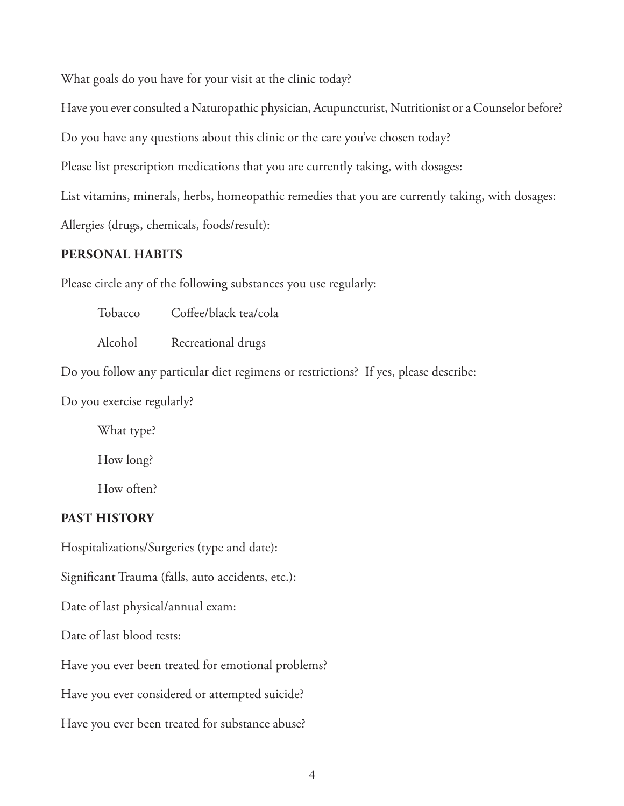What goals do you have for your visit at the clinic today?

Have you ever consulted a Naturopathic physician, Acupuncturist, Nutritionist or a Counselor before?

Do you have any questions about this clinic or the care you've chosen today?

Please list prescription medications that you are currently taking, with dosages:

List vitamins, minerals, herbs, homeopathic remedies that you are currently taking, with dosages:

Allergies (drugs, chemicals, foods/result):

#### **PERSONAL HABITS**

Please circle any of the following substances you use regularly:

Tobacco Coffee/black tea/cola Alcohol Recreational drugs Do you follow any particular diet regimens or restrictions? If yes, please describe: Do you exercise regularly? What type?

How long? How often?

#### **PAST HISTORY**

Hospitalizations/Surgeries (type and date):

Significant Trauma (falls, auto accidents, etc.):

Date of last physical/annual exam:

Date of last blood tests:

Have you ever been treated for emotional problems?

Have you ever considered or attempted suicide?

Have you ever been treated for substance abuse?